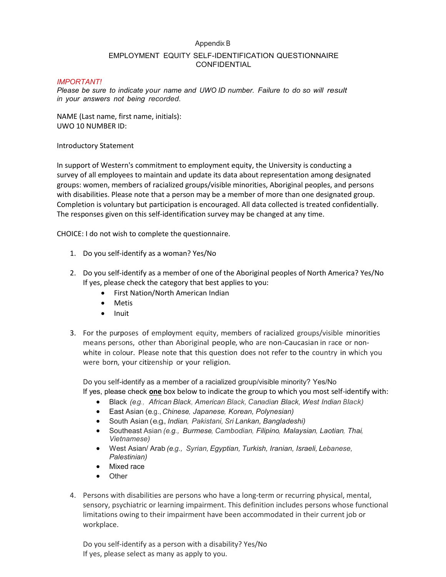## Appendix B

## EMPLOYMENT EQUITY SELF-IDENTIFICATION QUESTIONNAIRE CONFIDENTIAL

# *IMPORTANT!*

*Please be sure to indicate your name and UWO ID number. Failure to do so will result in your answers not being recorded.*

NAME (Last name, first name, initials): UWO 10 NUMBER ID:

## Introductory Statement

In support of Western's commitment to employment equity, the University is conducting a survey of all employees to maintain and update its data about representation among designated groups: women, members of racialized groups/visible minorities, Aboriginal peoples, and persons with disabilities. Please note that a person may be a member of more than one designated group. Completion is voluntary but participation is encouraged. All data collected is treated confidentially. The responses given on this self-identification survey may be changed at any time.

CHOICE: I do not wish to complete the questionnaire.

- 1. Do you self-identify as a woman? Yes/No
- 2. Do you self-identify as a member of one of the Aboriginal peoples of North America? Yes/No If yes, please check the category that best applies to you:
	- First Nation/North American Indian
	- Metis
	- $\bullet$  Inuit
- 3. For the purposes of employment equity, members of racialized groups/visible minorities means persons, other than Aboriginal people, who are non-Caucasian in race or nonwhite in colour. Please note that this question does not refer to the country in which you were born, your citizenship or your religion.

Do you self-identify as a member of a racialized group/visible minority? Yes/No If yes, please check **one** box below to indicate the group to which you most self-identify with:

- Black *(e.g., African Black, American Black, Canadian Black, West Indian Black)*
- East Asian (e.g., *Chinese, Japanese, Korean, Polynesian)*
- South Asian (e.g., *Indian, Pakistani, Sri Lankan, Bangladeshi)*
- Southeast Asian *(e.g., Burmese, Cambodian, Filipino, Malaysian, Laotian, Thai, Vietnamese)*
- West Asian/ Arab *(e.g., Syrian, Egyptian, Turkish, Iranian, Israeli, Lebanese, Palestinian)*
- Mixed race
- **•** Other
- 4. Persons with disabilities are persons who have a long-term or recurring physical, mental, sensory, psychiatric or learning impairment. This definition includes persons whose functional limitations owing to their impairment have been accommodated in their current job or workplace.

Do you self-identify as a person with a disability? Yes/No If yes, please select as many as apply to you.